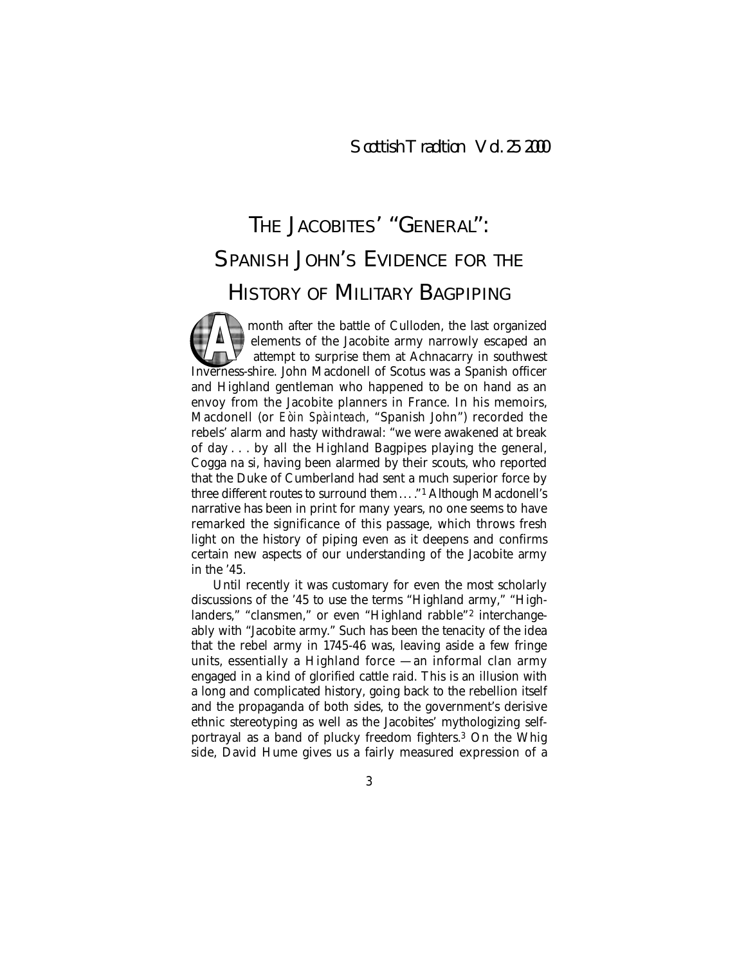# THE JACOBITES' "GENERAL": SPANISH JOHN'S EVIDENCE FOR THE HISTORY OF MILITARY BAGPIPING

month after the battle of Culloden, the last organized elements of the Jacobite army narrowly escaped an attempt to surprise them at Achnacarry in southwest Information and the battle of Culloden, the last organized<br>
elements of the Jacobite army narrowly escaped an<br>
attempt to surprise them at Achnacarry in southwest<br>
Inverness-shire. John Macdonell of Scotus was a Spanish of and Highland gentleman who happened to be on hand as an envoy from the Jacobite planners in France. In his memoirs, Macdonell (or *Eòin Spàinteach*, "Spanish John") recorded the rebels' alarm and hasty withdrawal: "we were awakened at break of day . . . by all the Highland Bagpipes playing the general, Cogga na si, having been alarmed by their scouts, who reported that the Duke of Cumberland had sent a much superior force by three different routes to surround them... ."1 Although Macdonell's narrative has been in print for many years, no one seems to have remarked the significance of this passage, which throws fresh light on the history of piping even as it deepens and confirms certain new aspects of our understanding of the Jacobite army in the '45.

Until recently it was customary for even the most scholarly discussions of the '45 to use the terms "Highland army," "Highlanders," "clansmen," or even "Highland rabble"2 interchangeably with "Jacobite army." Such has been the tenacity of the idea that the rebel army in 1745-46 was, leaving aside a few fringe units, essentially a Highland force — an informal clan army engaged in a kind of glorified cattle raid. This is an illusion with a long and complicated history, going back to the rebellion itself and the propaganda of both sides, to the government's derisive ethnic stereotyping as well as the Jacobites' mythologizing selfportrayal as a band of plucky freedom fighters.3 On the Whig side, David Hume gives us a fairly measured expression of a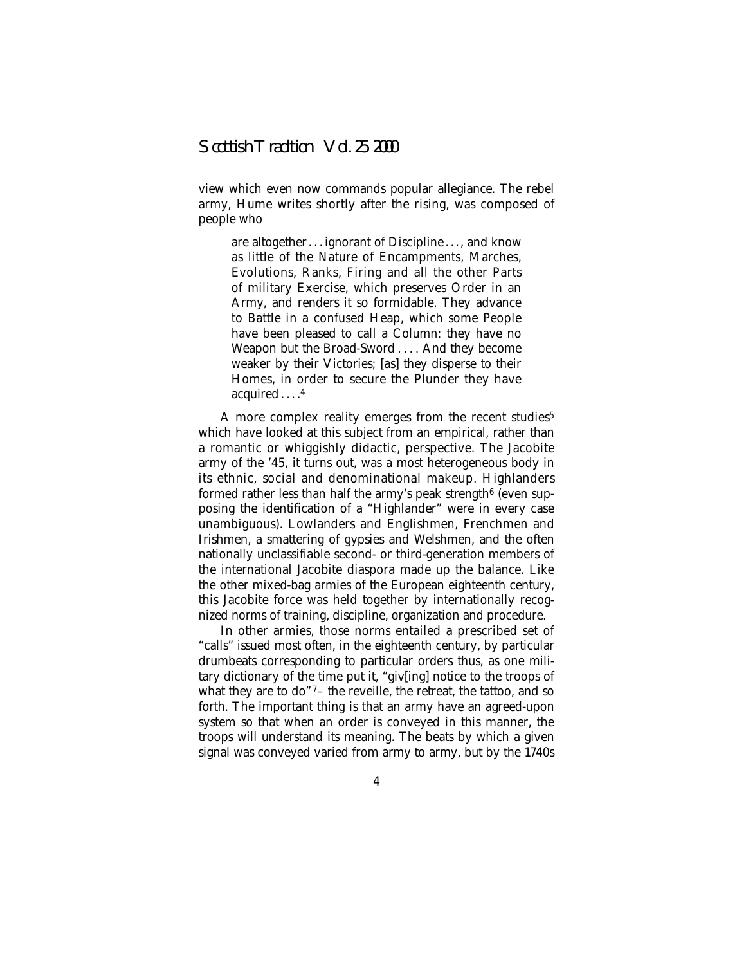view which even now commands popular allegiance. The rebel army, Hume writes shortly after the rising, was composed of people who

are altogether . . . ignorant of Discipline . . . , and know as little of the Nature of Encampments, Marches, Evolutions, Ranks, Firing and all the other Parts of military Exercise, which preserves Order in an Army, and renders it so formidable. They advance to Battle in a confused Heap, which some People have been pleased to call a Column: they have no Weapon but the Broad-Sword . . . . And they become weaker by their Victories; [as] they disperse to their Homes, in order to secure the Plunder they have acquired . . . . 4

A more complex reality emerges from the recent studies<sup>5</sup> which have looked at this subject from an empirical, rather than a romantic or whiggishly didactic, perspective. The Jacobite army of the '45, it turns out, was a most heterogeneous body in its ethnic, social and denominational makeup. Highlanders formed rather less than half the army's peak strength<sup>6</sup> (even supposing the identification of a "Highlander" were in every case unambiguous). Lowlanders and Englishmen, Frenchmen and Irishmen, a smattering of gypsies and Welshmen, and the often nationally unclassifiable second- or third-generation members of the international Jacobite diaspora made up the balance. Like the other mixed-bag armies of the European eighteenth century, this Jacobite force was held together by internationally recognized norms of training, discipline, organization and procedure.

In other armies, those norms entailed a prescribed set of "calls" issued most often, in the eighteenth century, by particular drumbeats corresponding to particular orders thus, as one military dictionary of the time put it, "giv[ing] notice to the troops of what they are to do"<sup>7</sup>- the reveille, the retreat, the tattoo, and so forth. The important thing is that an army have an agreed-upon system so that when an order is conveyed in this manner, the troops will understand its meaning. The beats by which a given signal was conveyed varied from army to army, but by the 1740s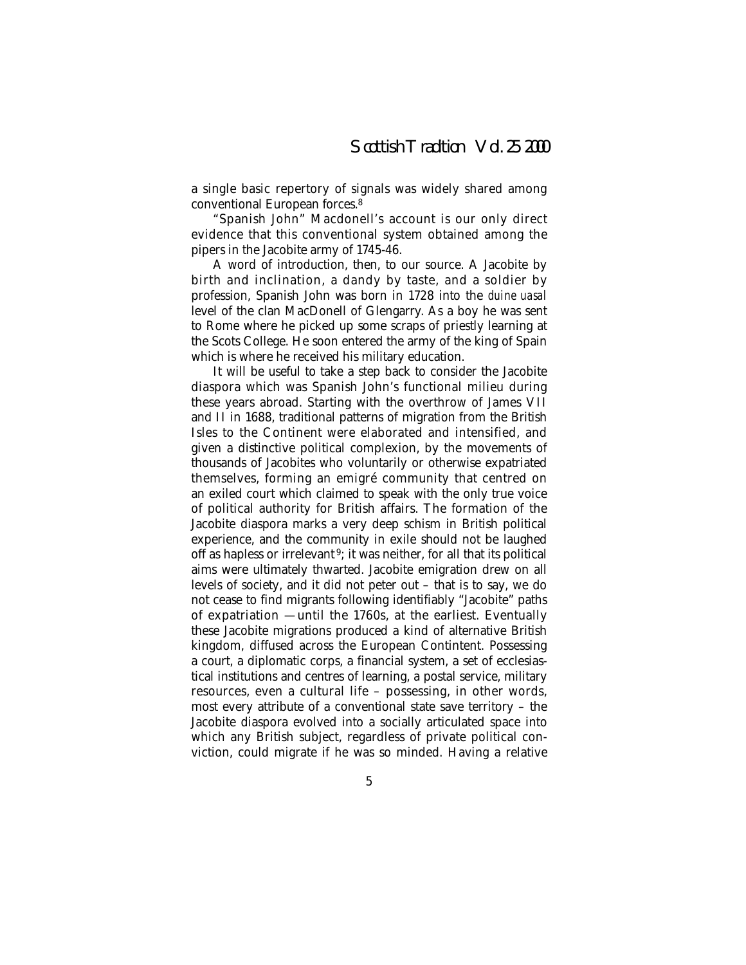a single basic repertory of signals was widely shared among conventional European forces.8

"Spanish John" Macdonell's account is our only direct evidence that this conventional system obtained among the pipers in the Jacobite army of 1745-46.

A word of introduction, then, to our source. A Jacobite by birth and inclination, a dandy by taste, and a soldier by profession, Spanish John was born in 1728 into the *duine uasal* level of the clan MacDonell of Glengarry. As a boy he was sent to Rome where he picked up some scraps of priestly learning at the Scots College. He soon entered the army of the king of Spain which is where he received his military education.

It will be useful to take a step back to consider the Jacobite diaspora which was Spanish John's functional milieu during these years abroad. Starting with the overthrow of James VII and II in 1688, traditional patterns of migration from the British Isles to the Continent were elaborated and intensified, and given a distinctive political complexion, by the movements of thousands of Jacobites who voluntarily or otherwise expatriated themselves, forming an emigré community that centred on an exiled court which claimed to speak with the only true voice of political authority for British affairs. The formation of the Jacobite diaspora marks a very deep schism in British political experience, and the community in exile should not be laughed off as hapless or irrelevant<sup>9</sup>; it was neither, for all that its political aims were ultimately thwarted. Jacobite emigration drew on all levels of society, and it did not peter out – that is to say, we do not cease to find migrants following identifiably "Jacobite" paths of expatriation — until the 1760s, at the earliest. Eventually these Jacobite migrations produced a kind of alternative British kingdom, diffused across the European Contintent. Possessing a court, a diplomatic corps, a financial system, a set of ecclesiastical institutions and centres of learning, a postal service, military resources, even a cultural life – possessing, in other words, most every attribute of a conventional state save territory – the Jacobite diaspora evolved into a socially articulated space into which any British subject, regardless of private political conviction, could migrate if he was so minded. Having a relative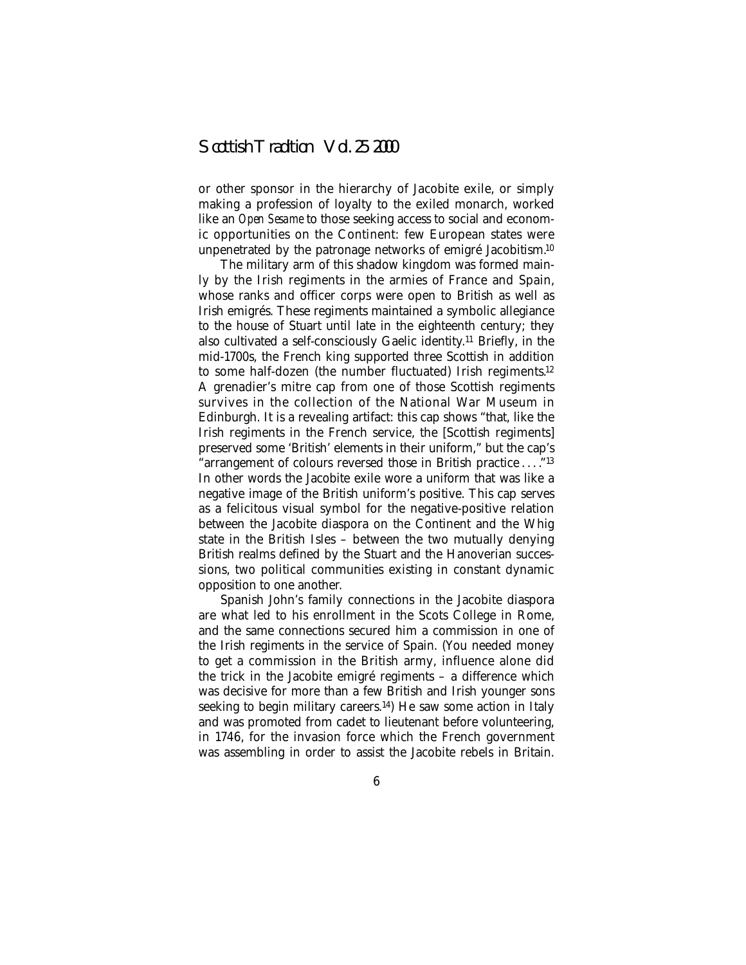or other sponsor in the hierarchy of Jacobite exile, or simply making a profession of loyalty to the exiled monarch, worked like an *Open Sesame* to those seeking access to social and economic opportunities on the Continent: few European states were unpenetrated by the patronage networks of emigré Jacobitism.10

The military arm of this shadow kingdom was formed mainly by the Irish regiments in the armies of France and Spain, whose ranks and officer corps were open to British as well as Irish emigrés. These regiments maintained a symbolic allegiance to the house of Stuart until late in the eighteenth century; they also cultivated a self-consciously Gaelic identity.11 Briefly, in the mid-1700s, the French king supported three Scottish in addition to some half-dozen (the number fluctuated) Irish regiments.12 A grenadier's mitre cap from one of those Scottish regiments survives in the collection of the National War Museum in Edinburgh. It is a revealing artifact: this cap shows "that, like the Irish regiments in the French service, the [Scottish regiments] preserved some 'British' elements in their uniform," but the cap's "arrangement of colours reversed those in British practice . . . ."13 In other words the Jacobite exile wore a uniform that was like a negative image of the British uniform's positive. This cap serves as a felicitous visual symbol for the negative-positive relation between the Jacobite diaspora on the Continent and the Whig state in the British Isles – between the two mutually denying British realms defined by the Stuart and the Hanoverian successions, two political communities existing in constant dynamic opposition to one another.

Spanish John's family connections in the Jacobite diaspora are what led to his enrollment in the Scots College in Rome, and the same connections secured him a commission in one of the Irish regiments in the service of Spain. (You needed money to get a commission in the British army, influence alone did the trick in the Jacobite emigré regiments – a difference which was decisive for more than a few British and Irish younger sons seeking to begin military careers.<sup>14</sup>) He saw some action in Italy and was promoted from cadet to lieutenant before volunteering, in 1746, for the invasion force which the French government was assembling in order to assist the Jacobite rebels in Britain.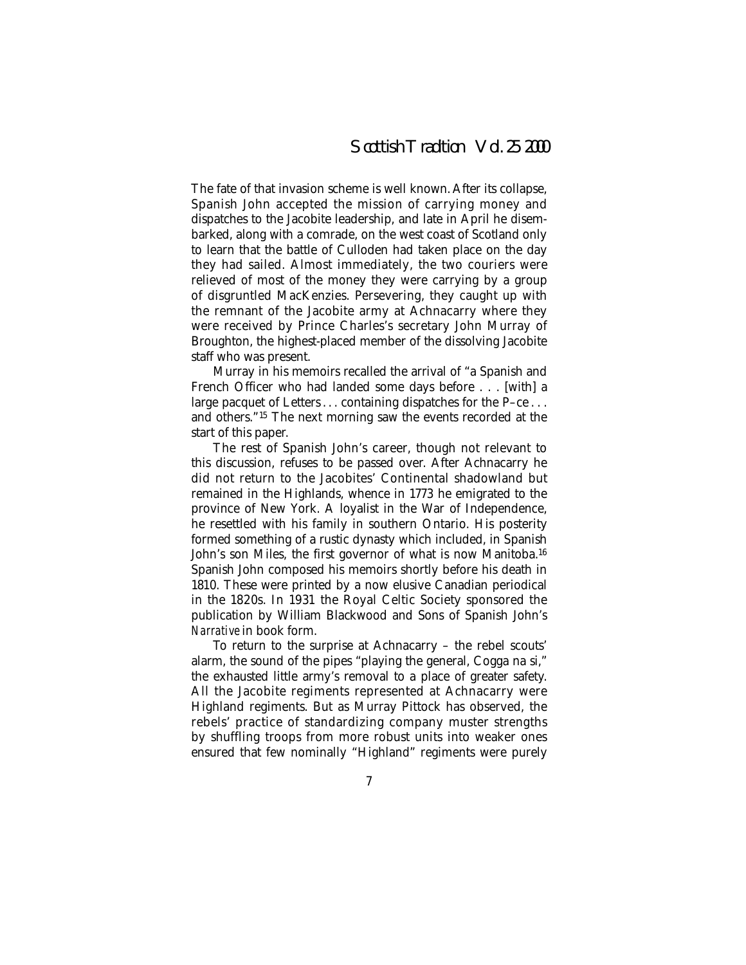The fate of that invasion scheme is well known. After its collapse, Spanish John accepted the mission of carrying money and dispatches to the Jacobite leadership, and late in April he disembarked, along with a comrade, on the west coast of Scotland only to learn that the battle of Culloden had taken place on the day they had sailed. Almost immediately, the two couriers were relieved of most of the money they were carrying by a group of disgruntled MacKenzies. Persevering, they caught up with the remnant of the Jacobite army at Achnacarry where they were received by Prince Charles's secretary John Murray of Broughton, the highest-placed member of the dissolving Jacobite staff who was present.

Murray in his memoirs recalled the arrival of "a Spanish and French Officer who had landed some days before . . . [with] a large pacquet of Letters ... containing dispatches for the P-ce ... and others."15 The next morning saw the events recorded at the start of this paper.

The rest of Spanish John's career, though not relevant to this discussion, refuses to be passed over. After Achnacarry he did not return to the Jacobites' Continental shadowland but remained in the Highlands, whence in 1773 he emigrated to the province of New York. A loyalist in the War of Independence, he resettled with his family in southern Ontario. His posterity formed something of a rustic dynasty which included, in Spanish John's son Miles, the first governor of what is now Manitoba.<sup>16</sup> Spanish John composed his memoirs shortly before his death in 1810. These were printed by a now elusive Canadian periodical in the 1820s. In 1931 the Royal Celtic Society sponsored the publication by William Blackwood and Sons of Spanish John's *Narrative* in book form.

To return to the surprise at Achnacarry – the rebel scouts' alarm, the sound of the pipes "playing the general, Cogga na si," the exhausted little army's removal to a place of greater safety. All the Jacobite regiments represented at Achnacarry were Highland regiments. But as Murray Pittock has observed, the rebels' practice of standardizing company muster strengths by shuffling troops from more robust units into weaker ones ensured that few nominally "Highland" regiments were purely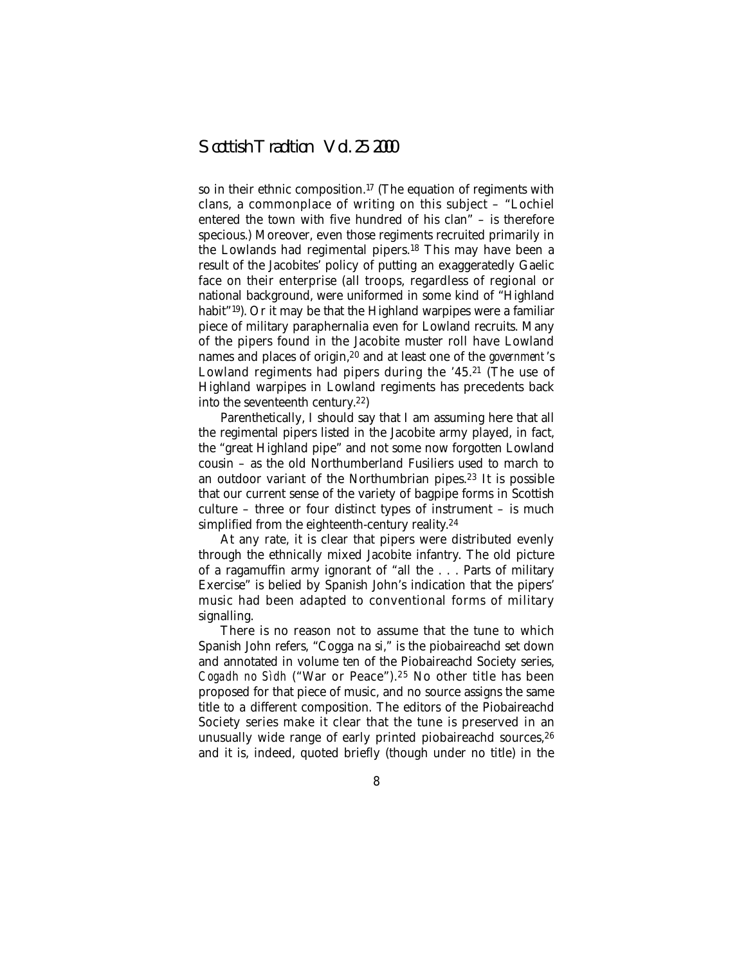so in their ethnic composition.17 (The equation of regiments with clans, a commonplace of writing on this subject – "Lochiel entered the town with five hundred of his clan" – is therefore specious.) Moreover, even those regiments recruited primarily in the Lowlands had regimental pipers.18 This may have been a result of the Jacobites' policy of putting an exaggeratedly Gaelic face on their enterprise (all troops, regardless of regional or national background, were uniformed in some kind of "Highland habit"<sup>19</sup>). Or it may be that the Highland warpipes were a familiar piece of military paraphernalia even for Lowland recruits. Many of the pipers found in the Jacobite muster roll have Lowland names and places of origin,20 and at least one of the *government* 's Lowland regiments had pipers during the '45.21 (The use of Highland warpipes in Lowland regiments has precedents back into the seventeenth century.22)

Parenthetically, I should say that I am assuming here that all the regimental pipers listed in the Jacobite army played, in fact, the "great Highland pipe" and not some now forgotten Lowland cousin – as the old Northumberland Fusiliers used to march to an outdoor variant of the Northumbrian pipes.23 It is possible that our current sense of the variety of bagpipe forms in Scottish culture – three or four distinct types of instrument – is much simplified from the eighteenth-century reality.<sup>24</sup>

At any rate, it is clear that pipers were distributed evenly through the ethnically mixed Jacobite infantry. The old picture of a ragamuffin army ignorant of "all the . . . Parts of military Exercise" is belied by Spanish John's indication that the pipers' music had been adapted to conventional forms of military signalling.

There is no reason not to assume that the tune to which Spanish John refers, "Cogga na si," is the piobaireachd set down and annotated in volume ten of the Piobaireachd Society series, *Cogadh no Sìdh* ("War or Peace").25 No other title has been proposed for that piece of music, and no source assigns the same title to a different composition. The editors of the Piobaireachd Society series make it clear that the tune is preserved in an unusually wide range of early printed piobaireachd sources,<sup>26</sup> and it is, indeed, quoted briefly (though under no title) in the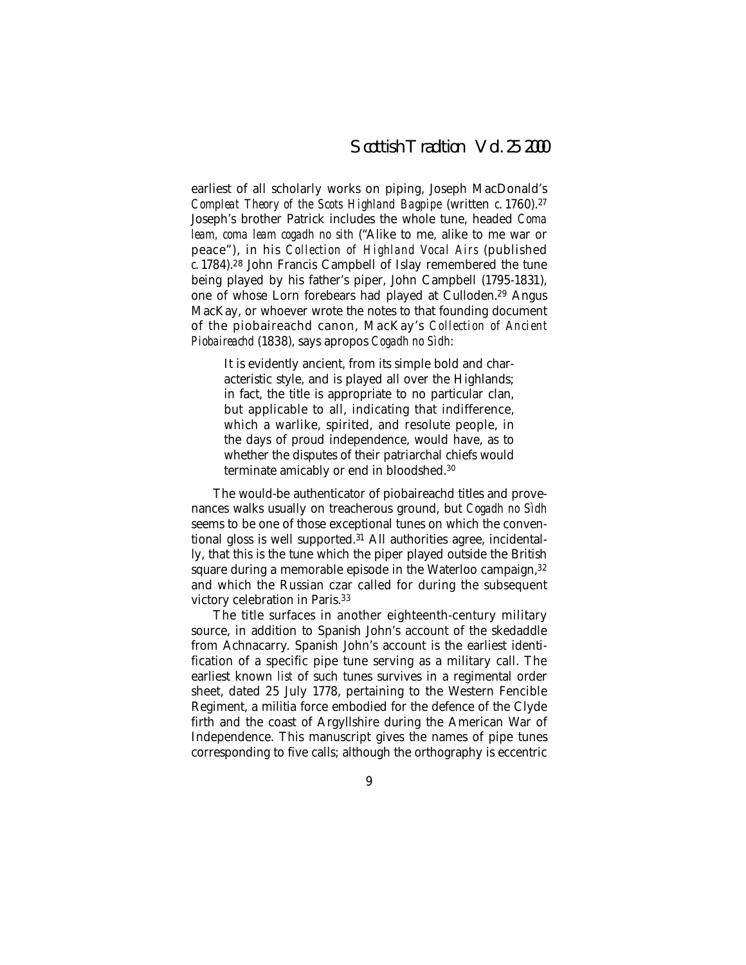earliest of all scholarly works on piping, Joseph MacDonald's *Compleat Theory of the Scots Highland Bagpipe* (written *c*. 1760).27 Joseph's brother Patrick includes the whole tune, headed *Coma leam, coma leam cogadh no sith* ("Alike to me, alike to me war or peace"), in his *Collection of Highland Vocal Airs* (published *c*. 1784).28 John Francis Campbell of Islay remembered the tune being played by his father's piper, John Campbell (1795-1831), one of whose Lorn forebears had played at Culloden.29 Angus MacKay, or whoever wrote the notes to that founding document of the piobaireachd canon, MacKay's *Collection of Ancient Piobaireachd* (1838), says apropos *Cogadh no Sìdh*:

It is evidently ancient, from its simple bold and characteristic style, and is played all over the Highlands; in fact, the title is appropriate to no particular clan, but applicable to all, indicating that indifference, which a warlike, spirited, and resolute people, in the days of proud independence, would have, as to whether the disputes of their patriarchal chiefs would terminate amicably or end in bloodshed.30

The would-be authenticator of piobaireachd titles and provenances walks usually on treacherous ground, but *Cogadh no Sìdh* seems to be one of those exceptional tunes on which the conventional gloss is well supported.31 All authorities agree, incidentally, that this is the tune which the piper played outside the British square during a memorable episode in the Waterloo campaign, 32 and which the Russian czar called for during the subsequent victory celebration in Paris.33

The title surfaces in another eighteenth-century military source, in addition to Spanish John's account of the skedaddle from Achnacarry. Spanish John's account is the earliest identification of a specific pipe tune serving as a military call. The earliest known *list* of such tunes survives in a regimental order sheet, dated 25 July 1778, pertaining to the Western Fencible Regiment, a militia force embodied for the defence of the Clyde firth and the coast of Argyllshire during the American War of Independence. This manuscript gives the names of pipe tunes corresponding to five calls; although the orthography is eccentric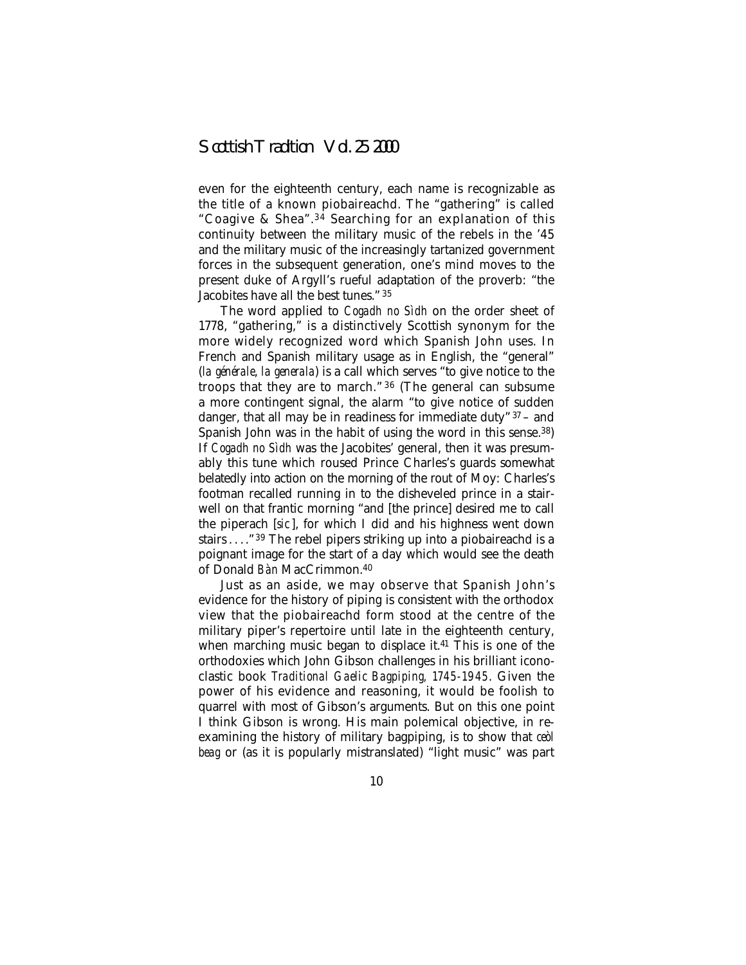even for the eighteenth century, each name is recognizable as the title of a known piobaireachd. The "gathering" is called "Coagive & Shea".<sup>34</sup> Searching for an explanation of this continuity between the military music of the rebels in the '45 and the military music of the increasingly tartanized government forces in the subsequent generation, one's mind moves to the present duke of Argyll's rueful adaptation of the proverb: "the Jacobites have all the best tunes." <sup>35</sup>

The word applied to *Cogadh no Sìdh* on the order sheet of 1778, "gathering," is a distinctively Scottish synonym for the more widely recognized word which Spanish John uses. In French and Spanish military usage as in English, the "general" (*la générale*, *la generala*) is a call which serves "to give notice to the troops that they are to march." <sup>36</sup> (The general can subsume a more contingent signal, the alarm "to give notice of sudden danger, that all may be in readiness for immediate duty"  $37 -$  and Spanish John was in the habit of using the word in this sense.38) If *Cogadh no Sìdh* was the Jacobites' general, then it was presumably this tune which roused Prince Charles's guards somewhat belatedly into action on the morning of the rout of Moy: Charles's footman recalled running in to the disheveled prince in a stairwell on that frantic morning "and [the prince] desired me to call the piperach [*sic* ], for which I did and his highness went down stairs . . . . "<sup>39</sup> The rebel pipers striking up into a piobaireachd is a poignant image for the start of a day which would see the death of Donald *Bàn* MacCrimmon.40

Just as an aside, we may observe that Spanish John's evidence for the history of piping is consistent with the orthodox view that the piobaireachd form stood at the centre of the military piper's repertoire until late in the eighteenth century, when marching music began to displace it.<sup>41</sup> This is one of the orthodoxies which John Gibson challenges in his brilliant iconoclastic book *Traditional Gaelic Bagpiping, 1745-1945*. Given the power of his evidence and reasoning, it would be foolish to quarrel with most of Gibson's arguments. But on this one point I think Gibson is wrong. His main polemical objective, in reexamining the history of military bagpiping, is to show that *ceòl beag* or (as it is popularly mistranslated) "light music" was part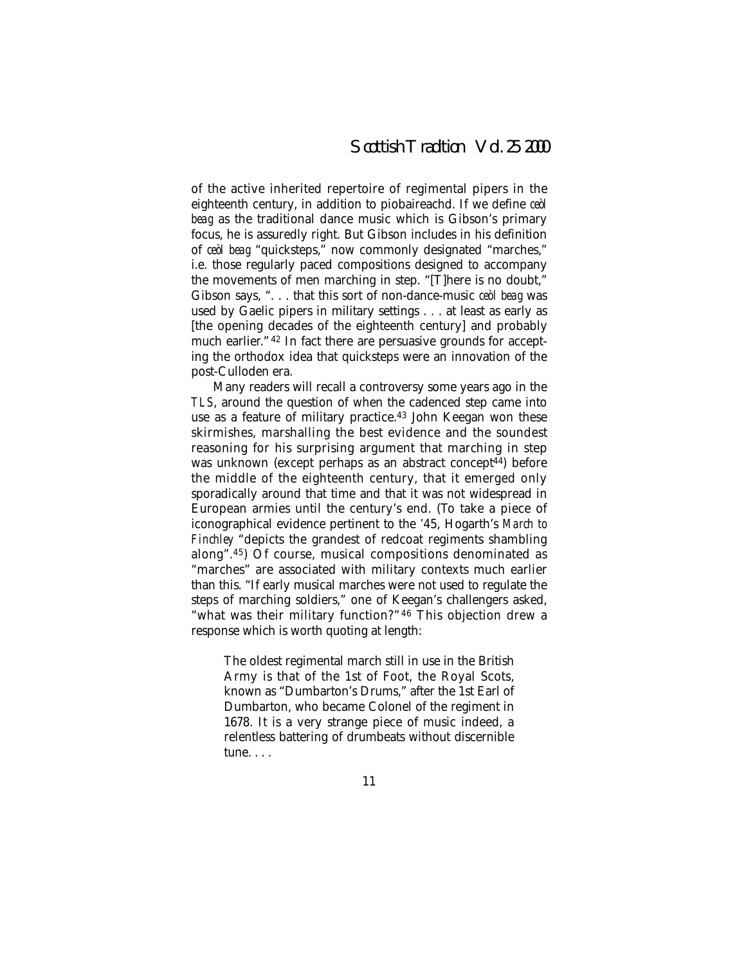of the active inherited repertoire of regimental pipers in the eighteenth century, in addition to piobaireachd. If we define *ceòl beag* as the traditional dance music which is Gibson's primary focus, he is assuredly right. But Gibson includes in his definition of *ceòl beag* "quicksteps," now commonly designated "marches," i.e. those regularly paced compositions designed to accompany the movements of men marching in step. "[T]here is no doubt," Gibson says, ". . . that this sort of non-dance-music *ceòl beag* was used by Gaelic pipers in military settings . . . at least as early as [the opening decades of the eighteenth century] and probably much earlier." <sup>42</sup> In fact there are persuasive grounds for accepting the orthodox idea that quicksteps were an innovation of the post-Culloden era.

Many readers will recall a controversy some years ago in the *TLS*, around the question of when the cadenced step came into use as a feature of military practice.<sup>43</sup> John Keegan won these skirmishes, marshalling the best evidence and the soundest reasoning for his surprising argument that marching in step was unknown (except perhaps as an abstract concept<sup>44</sup>) before the middle of the eighteenth century, that it emerged only sporadically around that time and that it was not widespread in European armies until the century's end. (To take a piece of iconographical evidence pertinent to the '45, Hogarth's *March to Finchley* "depicts the grandest of redcoat regiments shambling along".45) Of course, musical compositions denominated as "marches" are associated with military contexts much earlier than this. "If early musical marches were not used to regulate the steps of marching soldiers," one of Keegan's challengers asked, "what was their military function?" <sup>46</sup> This objection drew a response which is worth quoting at length:

The oldest regimental march still in use in the British Army is that of the 1st of Foot, the Royal Scots, known as "Dumbarton's Drums," after the 1st Earl of Dumbarton, who became Colonel of the regiment in 1678. It is a very strange piece of music indeed, a relentless battering of drumbeats without discernible tune. . . .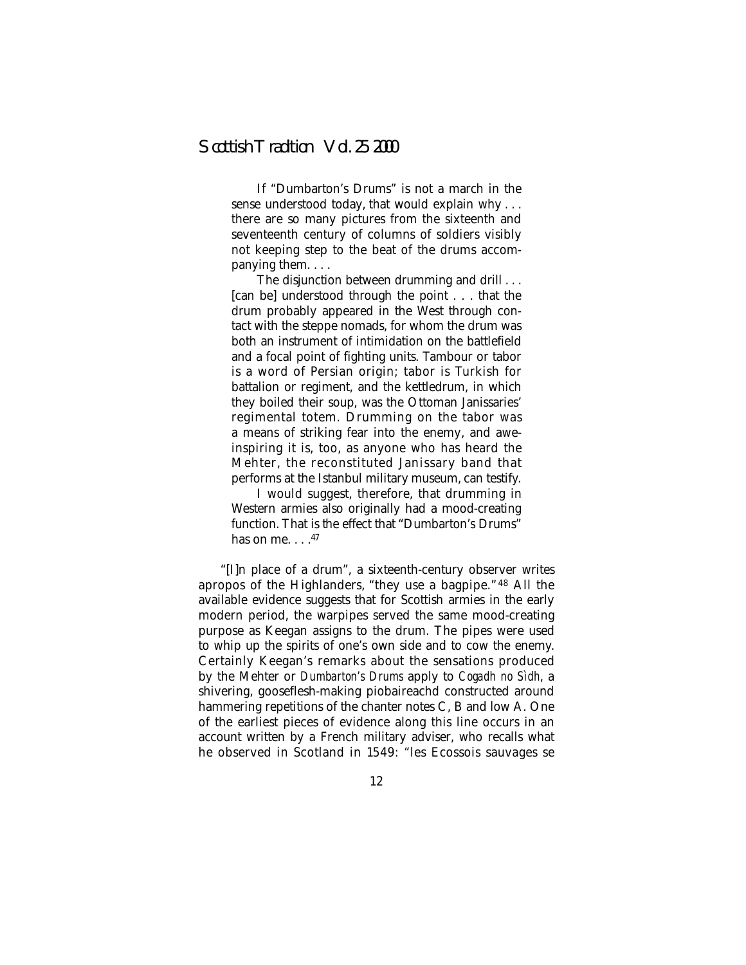If "Dumbarton's Drums" is not a march in the sense understood today, that would explain why . . . there are so many pictures from the sixteenth and seventeenth century of columns of soldiers visibly not keeping step to the beat of the drums accompanying them....

The disjunction between drumming and drill . . . [can be] understood through the point... that the drum probably appeared in the West through contact with the steppe nomads, for whom the drum was both an instrument of intimidation on the battlefield and a focal point of fighting units. Tambour or tabor is a word of Persian origin; tabor is Turkish for battalion or regiment, and the kettledrum, in which they boiled their soup, was the Ottoman Janissaries' regimental totem. Drumming on the tabor was a means of striking fear into the enemy, and aweinspiring it is, too, as anyone who has heard the Mehter, the reconstituted Janissary band that performs at the Istanbul military museum, can testify.

I would suggest, therefore, that drumming in Western armies also originally had a mood-creating function. That is the effect that "Dumbarton's Drums" has on me.  $. . .<sup>47</sup>$ 

"[I]n place of a drum", a sixteenth-century observer writes apropos of the Highlanders, "they use a bagpipe." <sup>48</sup> All the available evidence suggests that for Scottish armies in the early modern period, the warpipes served the same mood-creating purpose as Keegan assigns to the drum. The pipes were used to whip up the spirits of one's own side and to cow the enemy. Certainly Keegan's remarks about the sensations produced by the Mehter or *Dumbarton's Drums* apply to *Cogadh no Sìdh*, a shivering, gooseflesh-making piobaireachd constructed around hammering repetitions of the chanter notes C, B and low A. One of the earliest pieces of evidence along this line occurs in an account written by a French military adviser, who recalls what he observed in Scotland in 1549: "les Ecossois sauvages se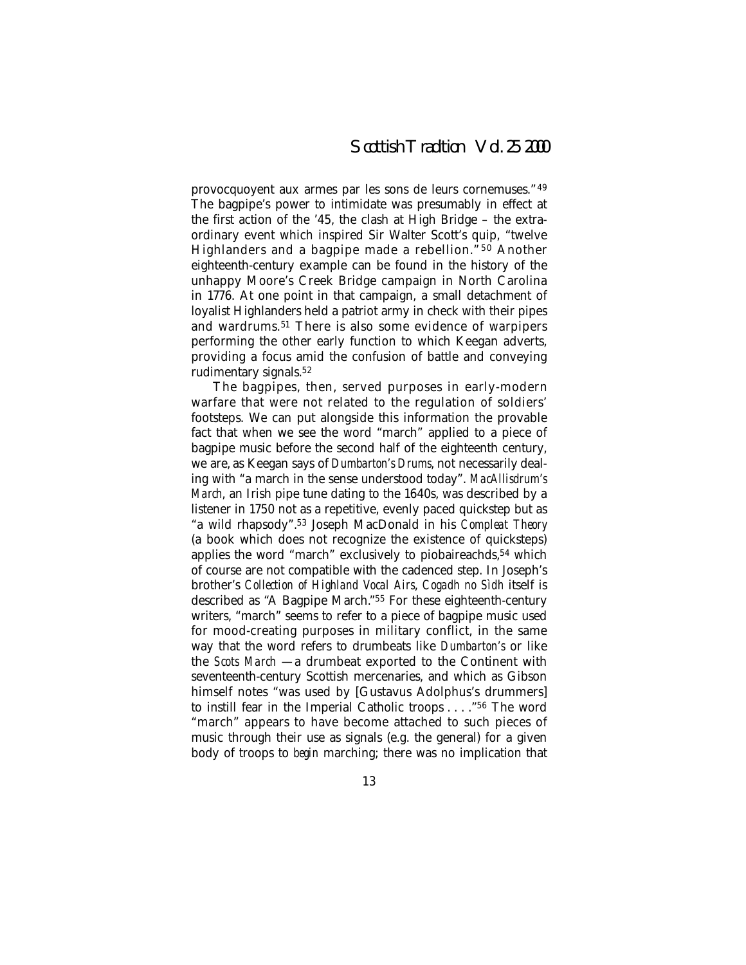provocquoyent aux armes par les sons de leurs cornemuses." <sup>49</sup> The bagpipe's power to intimidate was presumably in effect at the first action of the '45, the clash at High Bridge – the extraordinary event which inspired Sir Walter Scott's quip, "twelve Highlanders and a bagpipe made a rebellion."<sup>50</sup> Another eighteenth-century example can be found in the history of the unhappy Moore's Creek Bridge campaign in North Carolina in 1776. At one point in that campaign, a small detachment of loyalist Highlanders held a patriot army in check with their pipes and wardrums.51 There is also some evidence of warpipers performing the other early function to which Keegan adverts, providing a focus amid the confusion of battle and conveying rudimentary signals.52

The bagpipes, then, served purposes in early-modern warfare that were not related to the regulation of soldiers' footsteps. We can put alongside this information the provable fact that when we see the word "march" applied to a piece of bagpipe music before the second half of the eighteenth century, we are, as Keegan says of *Dumbarton's Drums*, not necessarily dealing with "a march in the sense understood today". *MacAllisdrum's March*, an Irish pipe tune dating to the 1640s, was described by a listener in 1750 not as a repetitive, evenly paced quickstep but as "a wild rhapsody".53 Joseph MacDonald in his *Compleat Theory* (a book which does not recognize the existence of quicksteps) applies the word "march" exclusively to piobaireachds,<sup>54</sup> which of course are not compatible with the cadenced step. In Joseph's brother's *Collection of Highland Vocal Airs*, *Cogadh no Sìdh* itself is described as "A Bagpipe March."55 For these eighteenth-century writers, "march" seems to refer to a piece of bagpipe music used for mood-creating purposes in military conflict, in the same way that the word refers to drumbeats like *Dumbarton's* or like the *Scots March* — a drumbeat exported to the Continent with seventeenth-century Scottish mercenaries, and which as Gibson himself notes "was used by [Gustavus Adolphus's drummers] to instill fear in the Imperial Catholic troops . . . ."56 The word "march" appears to have become attached to such pieces of music through their use as signals (e.g. the general) for a given body of troops to *begin* marching; there was no implication that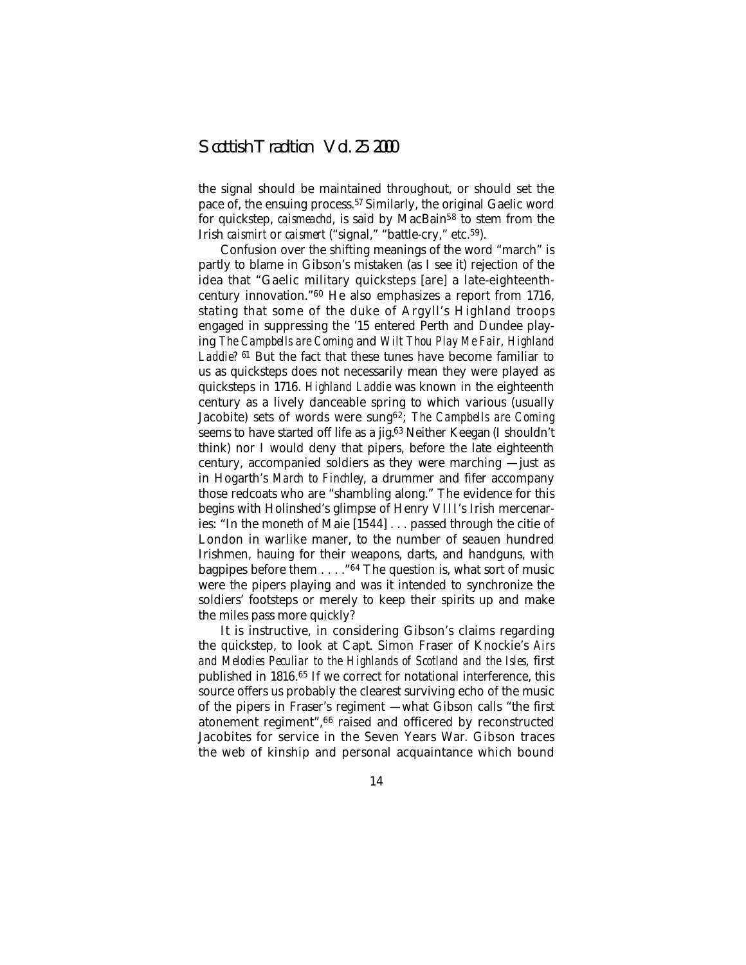the signal should be maintained throughout, or should set the pace of, the ensuing process.57 Similarly, the original Gaelic word for quickstep, *caismeachd*, is said by MacBain<sup>58</sup> to stem from the Irish *caismirt* or *caismert* ("signal," "battle-cry," etc.59).

Confusion over the shifting meanings of the word "march" is partly to blame in Gibson's mistaken (as I see it) rejection of the idea that "Gaelic military quicksteps [are] a late-eighteenthcentury innovation."60 He also emphasizes a report from 1716, stating that some of the duke of Argyll's Highland troops engaged in suppressing the '15 entered Perth and Dundee playing *The Campbells are Coming* and *Wilt Thou Play Me Fair, Highland Laddie?* <sup>61</sup> But the fact that these tunes have become familiar to us as quicksteps does not necessarily mean they were played as quicksteps in 1716. *Highland Laddie* was known in the eighteenth century as a lively danceable spring to which various (usually Jacobite) sets of words were sung62; *The Campbells are Coming* seems to have started off life as a jig.<sup>63</sup> Neither Keegan (I shouldn't think) nor I would deny that pipers, before the late eighteenth century, accompanied soldiers as they were marching — just as in Hogarth's *March to Finchley*, a drummer and fifer accompany those redcoats who are "shambling along." The evidence for this begins with Holinshed's glimpse of Henry VIII's Irish mercenaries: "In the moneth of Maie [1544]... passed through the citie of London in warlike maner, to the number of seauen hundred Irishmen, hauing for their weapons, darts, and handguns, with bagpipes before them . . . ."64 The question is, what sort of music were the pipers playing and was it intended to synchronize the soldiers' footsteps or merely to keep their spirits up and make the miles pass more quickly?

It is instructive, in considering Gibson's claims regarding the quickstep, to look at Capt. Simon Fraser of Knockie's *Airs and Melodies Peculiar to the Highlands of Scotland and the Isles*, first published in 1816.<sup>65</sup> If we correct for notational interference, this source offers us probably the clearest surviving echo of the music of the pipers in Fraser's regiment — what Gibson calls "the first atonement regiment",66 raised and officered by reconstructed Jacobites for service in the Seven Years War. Gibson traces the web of kinship and personal acquaintance which bound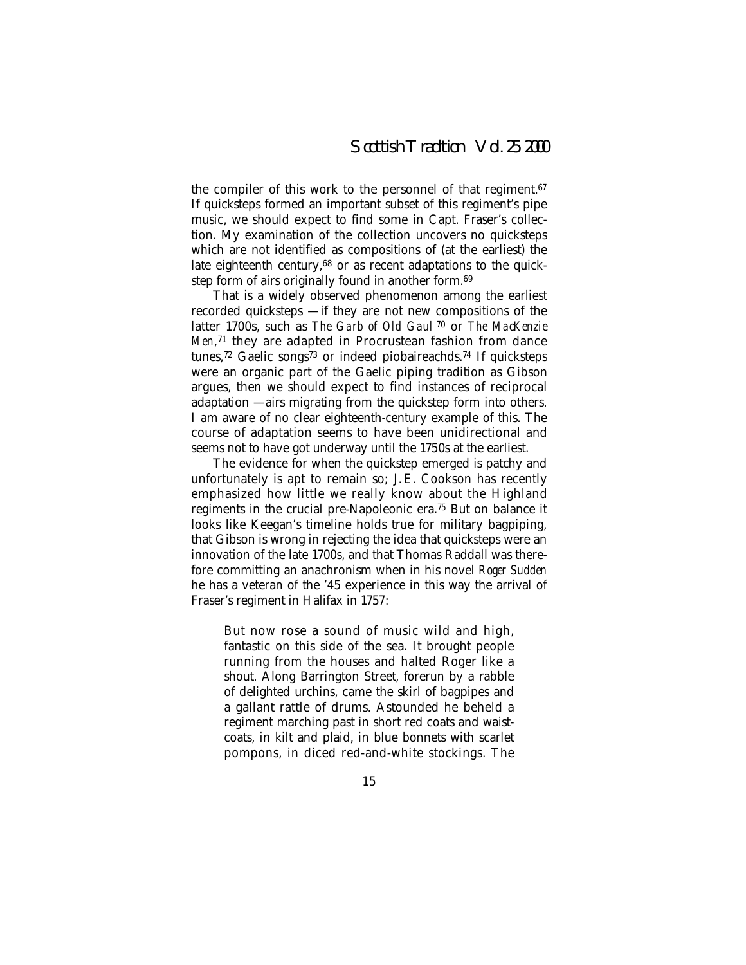the compiler of this work to the personnel of that regiment.67 If quicksteps formed an important subset of this regiment's pipe music, we should expect to find some in Capt. Fraser's collection. My examination of the collection uncovers no quicksteps which are not identified as compositions of (at the earliest) the late eighteenth century, $68$  or as recent adaptations to the quickstep form of airs originally found in another form.<sup>69</sup>

That is a widely observed phenomenon among the earliest recorded quicksteps — if they are not new compositions of the latter 1700s, such as *The Garb of Old Gaul* <sup>70</sup> or *The MacKenzie Men*,71 they are adapted in Procrustean fashion from dance tunes,<sup>72</sup> Gaelic songs<sup>73</sup> or indeed piobaireachds.<sup>74</sup> If quicksteps were an organic part of the Gaelic piping tradition as Gibson argues, then we should expect to find instances of reciprocal adaptation — airs migrating from the quickstep form into others. I am aware of no clear eighteenth-century example of this. The course of adaptation seems to have been unidirectional and seems not to have got underway until the 1750s at the earliest.

The evidence for when the quickstep emerged is patchy and unfortunately is apt to remain so; J. E. Cookson has recently emphasized how little we really know about the Highland regiments in the crucial pre-Napoleonic era.75 But on balance it looks like Keegan's timeline holds true for military bagpiping, that Gibson is wrong in rejecting the idea that quicksteps were an innovation of the late 1700s, and that Thomas Raddall was therefore committing an anachronism when in his novel *Roger Sudden* he has a veteran of the '45 experience in this way the arrival of Fraser's regiment in Halifax in 1757:

But now rose a sound of music wild and high, fantastic on this side of the sea. It brought people running from the houses and halted Roger like a shout. Along Barrington Street, forerun by a rabble of delighted urchins, came the skirl of bagpipes and a gallant rattle of drums. Astounded he beheld a regiment marching past in short red coats and waistcoats, in kilt and plaid, in blue bonnets with scarlet pompons, in diced red-and-white stockings. The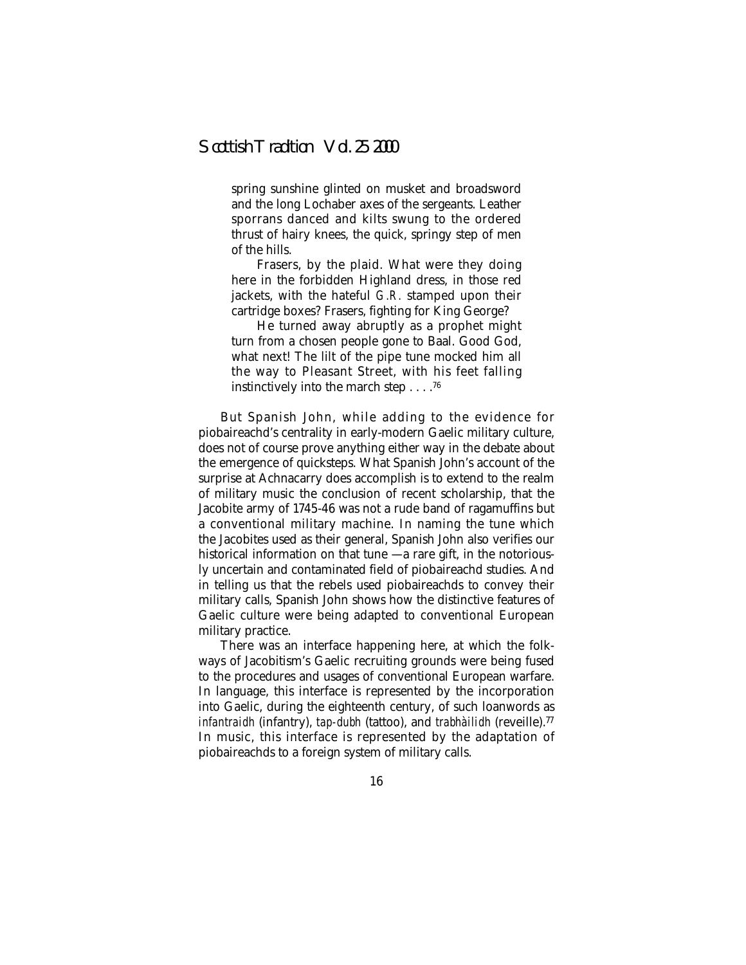spring sunshine glinted on musket and broadsword and the long Lochaber axes of the sergeants. Leather sporrans danced and kilts swung to the ordered thrust of hairy knees, the quick, springy step of men of the hills.

Frasers, by the plaid. What were they doing here in the forbidden Highland dress, in those red jackets, with the hateful *G.R.* stamped upon their cartridge boxes? Frasers, fighting for King George?

He turned away abruptly as a prophet might turn from a chosen people gone to Baal. Good God, what next! The lilt of the pipe tune mocked him all the way to Pleasant Street, with his feet falling instinctively into the march step....76

But Spanish John, while adding to the evidence for piobaireachd's centrality in early-modern Gaelic military culture, does not of course prove anything either way in the debate about the emergence of quicksteps. What Spanish John's account of the surprise at Achnacarry does accomplish is to extend to the realm of military music the conclusion of recent scholarship, that the Jacobite army of 1745-46 was not a rude band of ragamuffins but a conventional military machine. In naming the tune which the Jacobites used as their general, Spanish John also verifies our historical information on that tune  $-$  a rare gift, in the notoriously uncertain and contaminated field of piobaireachd studies. And in telling us that the rebels used piobaireachds to convey their military calls, Spanish John shows how the distinctive features of Gaelic culture were being adapted to conventional European military practice.

There was an interface happening here, at which the folkways of Jacobitism's Gaelic recruiting grounds were being fused to the procedures and usages of conventional European warfare. In language, this interface is represented by the incorporation into Gaelic, during the eighteenth century, of such loanwords as *infantraidh* (infantry), *tap-dubh* (tattoo), and *trabhàilidh* (reveille).77 In music, this interface is represented by the adaptation of piobaireachds to a foreign system of military calls.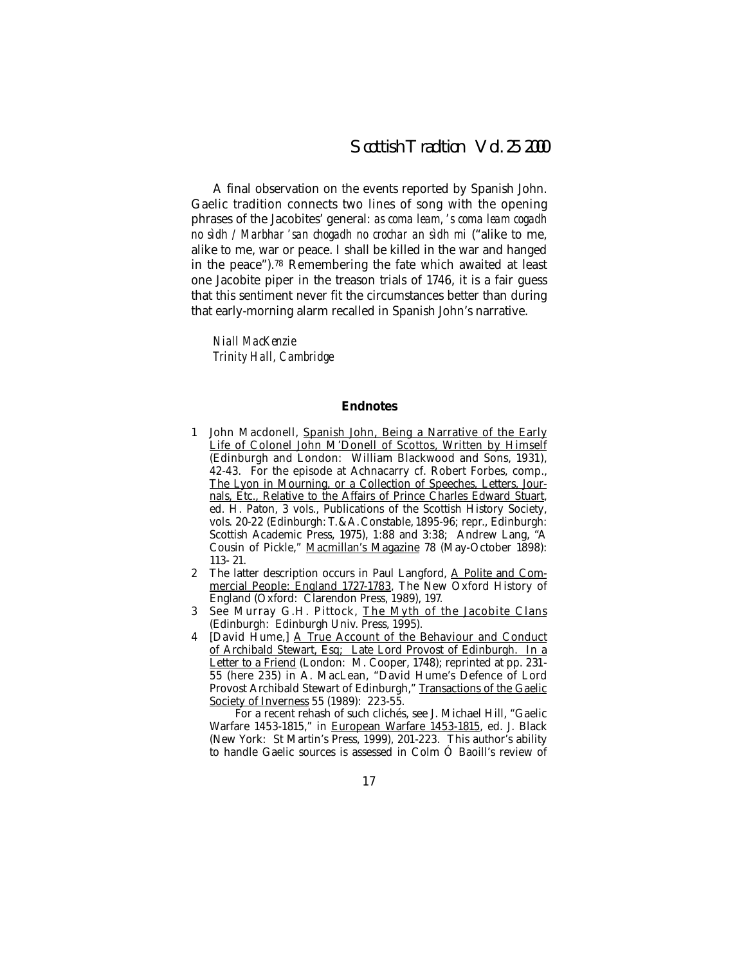A final observation on the events reported by Spanish John. Gaelic tradition connects two lines of song with the opening phrases of the Jacobites' general: *as coma leam, ' s coma leam cogadh no sìdh / Marbhar ' san chogadh no crochar an sìdh mi* ("alike to me, alike to me, war or peace. I shall be killed in the war and hanged in the peace").78 Remembering the fate which awaited at least one Jacobite piper in the treason trials of 1746, it is a fair guess that this sentiment never fit the circumstances better than during that early-morning alarm recalled in Spanish John's narrative.

*Niall MacKenzie Trinity Hall, Cambridge*

#### **Endnotes**

- 1 John Macdonell, Spanish John, Being a Narrative of the Early Life of Colonel John M'Donell of Scottos, Written by Himself (Edinburgh and London: William Blackwood and Sons, 1931), 42-43. For the episode at Achnacarry cf. Robert Forbes, comp., The Lyon in Mourning, or a Collection of Speeches, Letters, Journals, Etc., Relative to the Affairs of Prince Charles Edward Stuart, ed. H. Paton, 3 vols., Publications of the Scottish History Society, vols. 20-22 (Edinburgh: T.&A. Constable, 1895-96; repr., Edinburgh: Scottish Academic Press, 1975), 1:88 and 3:38; Andrew Lang, "A Cousin of Pickle," Macmillan's Magazine 78 (May-October 1898): 113- 21.
- 2 The latter description occurs in Paul Langford, A Polite and Commercial People: England 1727-1783, The New Oxford History of England (Oxford: Clarendon Press, 1989), 197.
- 3 See Murray G.H. Pittock, The Myth of the Jacobite Clans (Edinburgh: Edinburgh Univ. Press, 1995).
- 4 [David Hume,] A True Account of the Behaviour and Conduct of Archibald Stewart, Esq; Late Lord Provost of Edinburgh. In a Letter to a Friend (London: M. Cooper, 1748); reprinted at pp. 231-55 (here 235) in A. MacLean, "David Hume's Defence of Lord Provost Archibald Stewart of Edinburgh," Transactions of the Gaelic Society of Inverness 55 (1989): 223-55.

For a recent rehash of such clichés, see J. Michael Hill, "Gaelic Warfare 1453-1815," in European Warfare 1453-1815, ed. J. Black (New York: St Martin's Press, 1999), 201-223. This author's ability to handle Gaelic sources is assessed in Colm Ó Baoill's review of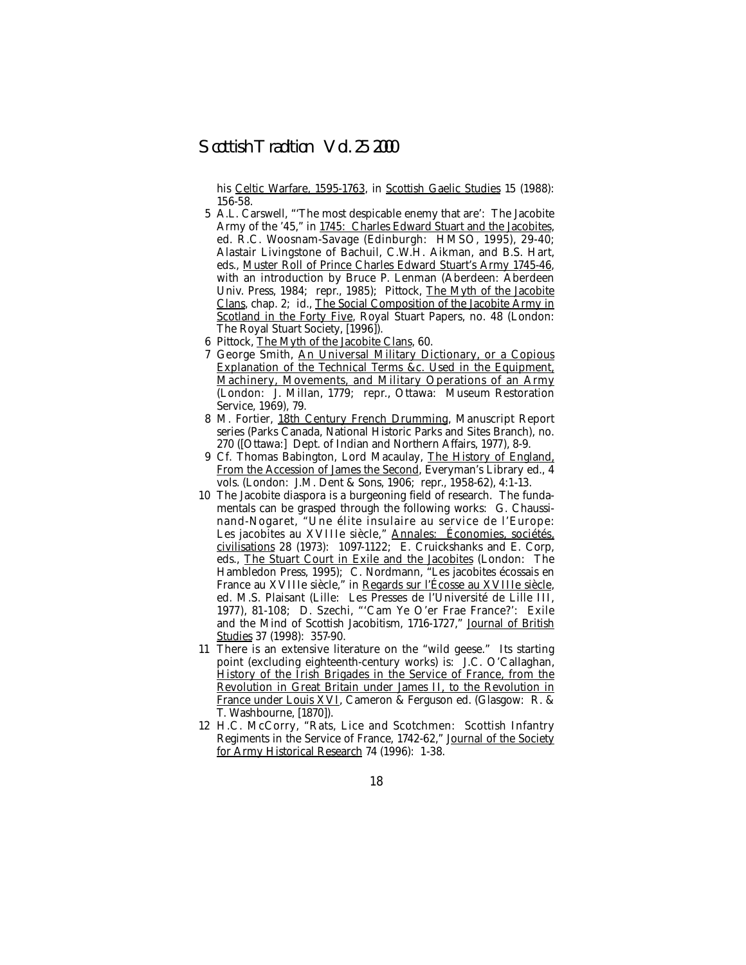his Celtic Warfare, 1595-1763, in Scottish Gaelic Studies 15 (1988): 156-58.

- 5 A.L. Carswell, "'The most despicable enemy that are': The Jacobite Army of the '45," in 1745: Charles Edward Stuart and the Jacobites, ed. R.C. Woosnam-Savage (Edinburgh: HMSO, 1995), 29-40; Alastair Livingstone of Bachuil, C.W.H. Aikman, and B.S. Hart, eds., Muster Roll of Prince Charles Edward Stuart's Army 1745-46, with an introduction by Bruce P. Lenman (Aberdeen: Aberdeen Univ. Press, 1984; repr., 1985); Pittock, The Myth of the Jacobite Clans, chap. 2; id., The Social Composition of the Jacobite Army in Scotland in the Forty Five, Royal Stuart Papers, no. 48 (London: The Royal Stuart Society, [1996]).
- 6 Pittock, The Myth of the Jacobite Clans, 60.
- 7 George Smith, An Universal Military Dictionary, or a Copious Explanation of the Technical Terms &c. Used in the Equipment, Machinery, Movements, and Military Operations of an Army (London: J. Millan, 1779; repr., Ottawa: Museum Restoration Service, 1969), 79.
- 8 M. Fortier, 18th Century French Drumming, Manuscript Report series (Parks Canada, National Historic Parks and Sites Branch), no. 270 ([Ottawa:] Dept. of Indian and Northern Affairs, 1977), 8-9.
- 9 Cf. Thomas Babington, Lord Macaulay, The History of England, From the Accession of James the Second, Everyman's Library ed., 4 vols. (London: J.M. Dent & Sons, 1906; repr., 1958-62), 4:1-13.
- 10 The Jacobite diaspora is a burgeoning field of research. The fundamentals can be grasped through the following works: G. Chaussinand-Nogaret, "Une élite insulaire au service de l'Europe: Les jacobites au XVIIIe siècle," Annales: Économies, sociétés, civilisations 28 (1973): 1097-1122; E. Cruickshanks and E. Corp, eds., The Stuart Court in Exile and the Jacobites (London: The Hambledon Press, 1995); C. Nordmann, "Les jacobites écossais en France au XVIIIe siècle," in <u>Regards sur l'Ecosse au XVIIIe siècle,</u> ed. M.S. Plaisant (Lille: Les Presses de l'Université de Lille III, 1977), 81-108; D. Szechi, "'Cam Ye O'er Frae France?': Exile and the Mind of Scottish Jacobitism, 1716-1727," Journal of British Studies 37 (1998): 357-90.
- 11 There is an extensive literature on the "wild geese." Its starting point (excluding eighteenth-century works) is: J.C. O'Callaghan, History of the Irish Brigades in the Service of France, from the Revolution in Great Britain under James II, to the Revolution in France under Louis XVI, Cameron & Ferguson ed. (Glasgow: R. & T. Washbourne, [1870]).
- 12 H.C. McCorry, "Rats, Lice and Scotchmen: Scottish Infantry Regiments in the Service of France, 1742-62," Journal of the Society for Army Historical Research 74 (1996): 1-38.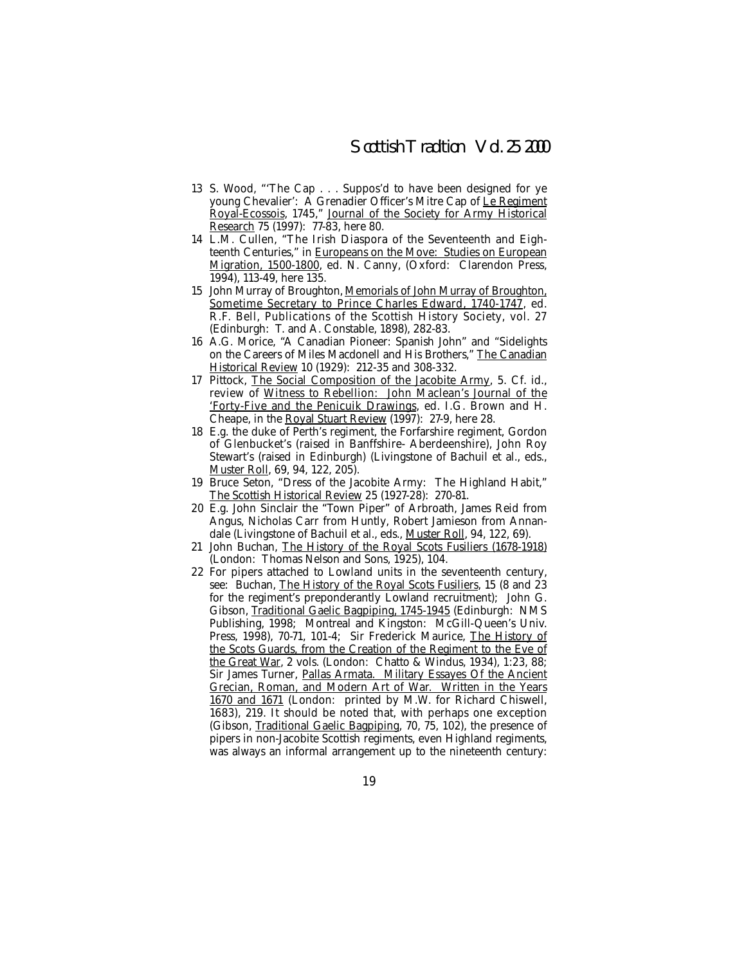- 13 S. Wood, "'The Cap... Suppos'd to have been designed for ye young Chevalier': A Grenadier Officer's Mitre Cap of Le Regiment Royal-Ecossois, 1745," Journal of the Society for Army Historical Research 75 (1997): 77-83, here 80.
- 14 L.M. Cullen, "The Irish Diaspora of the Seventeenth and Eighteenth Centuries," in Europeans on the Move: Studies on European Migration, 1500-1800, ed. N. Canny, (Oxford: Clarendon Press, 1994), 113-49, here 135.
- 15 John Murray of Broughton, Memorials of John Murray of Broughton, Sometime Secretary to Prince Charles Edward, 1740-1747, ed. R.F. Bell, Publications of the Scottish History Society, vol. 27 (Edinburgh: T. and A. Constable, 1898), 282-83.
- 16 A.G. Morice, "A Canadian Pioneer: Spanish John" and "Sidelights on the Careers of Miles Macdonell and His Brothers," The Canadian Historical Review 10 (1929): 212-35 and 308-332.
- 17 Pittock, The Social Composition of the Jacobite Army, 5. Cf. id., review of Witness to Rebellion: John Maclean's Journal of the 'Forty-Five and the Penicuik Drawings, ed. I.G. Brown and H. Cheape, in the Royal Stuart Review (1997): 27-9, here 28.
- 18 E.g. the duke of Perth's regiment, the Forfarshire regiment, Gordon of Glenbucket's (raised in Banffshire- Aberdeenshire), John Roy Stewart's (raised in Edinburgh) (Livingstone of Bachuil et al., eds., Muster Roll, 69, 94, 122, 205).
- 19 Bruce Seton, "Dress of the Jacobite Army: The Highland Habit," The Scottish Historical Review 25 (1927-28): 270-81.
- 20 E.g. John Sinclair the "Town Piper" of Arbroath, James Reid from Angus, Nicholas Carr from Huntly, Robert Jamieson from Annandale (Livingstone of Bachuil et al., eds., Muster Roll, 94, 122, 69).
- 21 John Buchan, The History of the Royal Scots Fusiliers (1678-1918) (London: Thomas Nelson and Sons, 1925), 104.
- 22 For pipers attached to Lowland units in the seventeenth century, see: Buchan, The History of the Royal Scots Fusiliers, 15 (8 and 23 for the regiment's preponderantly Lowland recruitment); John G. Gibson, Traditional Gaelic Bagpiping, 1745-1945 (Edinburgh: NMS Publishing, 1998; Montreal and Kingston: McGill-Queen's Univ. Press, 1998), 70-71, 101-4; Sir Frederick Maurice, The History of the Scots Guards, from the Creation of the Regiment to the Eve of the Great War, 2 vols. (London: Chatto & Windus, 1934), 1:23, 88; Sir James Turner, Pallas Armata. Military Essayes Of the Ancient Grecian, Roman, and Modern Art of War. Written in the Years 1670 and 1671 (London: printed by M.W. for Richard Chiswell, 1683), 219. It should be noted that, with perhaps one exception (Gibson, Traditional Gaelic Bagpiping, 70, 75, 102), the presence of pipers in non-Jacobite Scottish regiments, even Highland regiments, was always an informal arrangement up to the nineteenth century: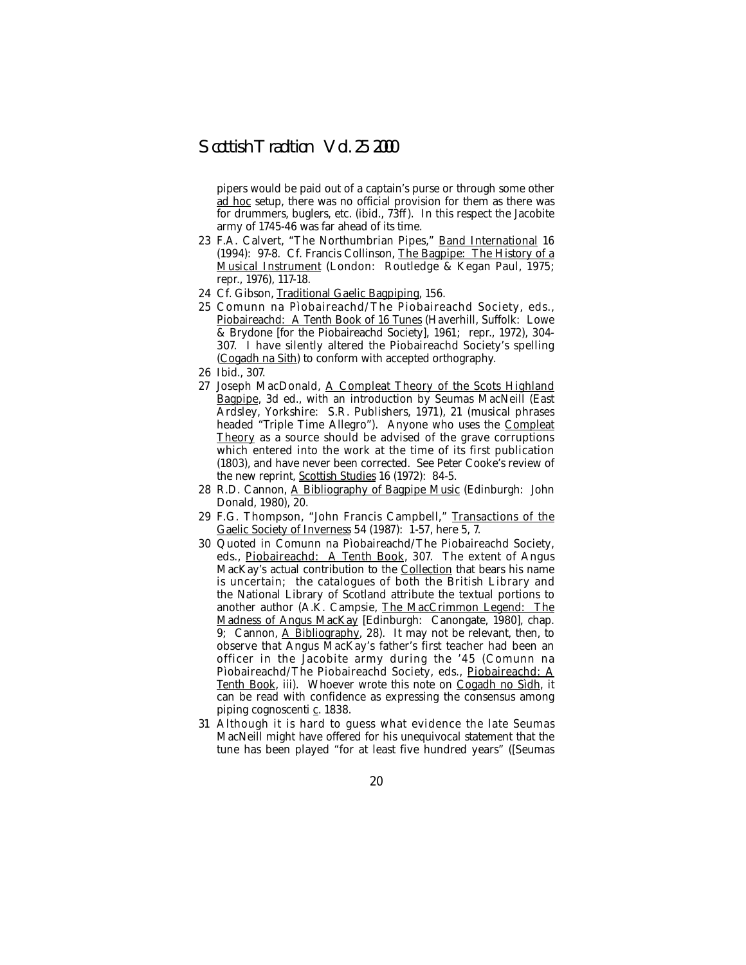pipers would be paid out of a captain's purse or through some other ad hoc setup, there was no official provision for them as there was for drummers, buglers, etc. (ibid., 73ff ). In this respect the Jacobite army of 1745-46 was far ahead of its time.

- 23 F.A. Calvert, "The Northumbrian Pipes," Band International 16 (1994): 97-8. Cf. Francis Collinson, The Bagpipe: The History of a Musical Instrument (London: Routledge & Kegan Paul, 1975; repr., 1976), 117-18.
- 24 Cf. Gibson, Traditional Gaelic Bagpiping, 156.
- 25 Comunn na Pìobaireachd/The Piobaireachd Society, eds., Piobaireachd: A Tenth Book of 16 Tunes (Haverhill, Suffolk: Lowe & Brydone [for the Piobaireachd Society], 1961; repr., 1972), 304- 307. I have silently altered the Piobaireachd Society's spelling (Cogadh na Sith) to conform with accepted orthography.
- 26 Ibid., 307.
- 27 Joseph MacDonald, A Compleat Theory of the Scots Highland Bagpipe, 3d ed., with an introduction by Seumas MacNeill (East Ardsley, Yorkshire: S.R. Publishers, 1971), 21 (musical phrases headed "Triple Time Allegro"). Anyone who uses the Compleat Theory as a source should be advised of the grave corruptions which entered into the work at the time of its first publication (1803), and have never been corrected. See Peter Cooke's review of the new reprint, Scottish Studies 16 (1972): 84-5.
- 28 R.D. Cannon, A Bibliography of Bagpipe Music (Edinburgh: John Donald, 1980), 20.
- 29 F.G. Thompson, "John Francis Campbell," Transactions of the Gaelic Society of Inverness 54 (1987): 1-57, here 5, 7.
- 30 Quoted in Comunn na Pìobaireachd/The Piobaireachd Society, eds., Piobaireachd: A Tenth Book, 307. The extent of Angus MacKay's actual contribution to the Collection that bears his name is uncertain; the catalogues of both the British Library and the National Library of Scotland attribute the textual portions to another author (A.K. Campsie, The MacCrimmon Legend: The Madness of Angus MacKay [Edinburgh: Canongate, 1980], chap. 9; Cannon, A Bibliography, 28). It may not be relevant, then, to observe that Angus MacKay's father's first teacher had been an officer in the Jacobite army during the '45 (Comunn na Pìobaireachd/The Piobaireachd Society, eds., Piobaireachd: A Tenth Book, iii). Whoever wrote this note on Cogadh no Sìdh, it can be read with confidence as expressing the consensus among piping cognoscenti c. 1838.
- 31 Although it is hard to guess what evidence the late Seumas MacNeill might have offered for his unequivocal statement that the tune has been played "for at least five hundred years" ([Seumas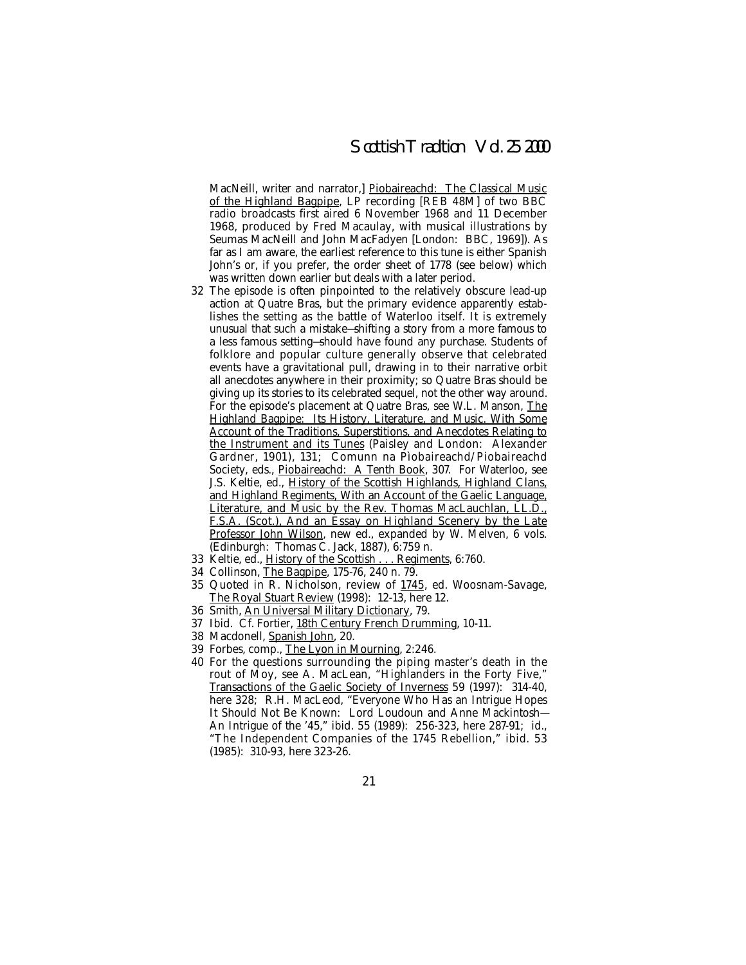MacNeill, writer and narrator, Piobaireachd: The Classical Music of the Highland Bagpipe, LP recording [REB 48M] of two BBC radio broadcasts first aired 6 November 1968 and 11 December 1968, produced by Fred Macaulay, with musical illustrations by Seumas MacNeill and John MacFadyen [London: BBC, 1969]). As far as I am aware, the earliest reference to this tune is either Spanish John's or, if you prefer, the order sheet of 1778 (see below) which was written down earlier but deals with a later period.

- 32 The episode is often pinpointed to the relatively obscure lead-up action at Quatre Bras, but the primary evidence apparently establishes the setting as the battle of Waterloo itself. It is extremely unusual that such a mistake—shifting a story from a more famous to a less famous setting—should have found any purchase. Students of folklore and popular culture generally observe that celebrated events have a gravitational pull, drawing in to their narrative orbit all anecdotes anywhere in their proximity; so Quatre Bras should be giving up its stories to its celebrated sequel, not the other way around. For the episode's placement at Quatre Bras, see W.L. Manson, The Highland Bagpipe: Its History, Literature, and Music. With Some Account of the Traditions, Superstitions, and Anecdotes Relating to the Instrument and its Tunes (Paisley and London: Alexander Gardner, 1901), 131; Comunn na Pìobaireachd/Piobaireachd Society, eds., Piobaireachd: A Tenth Book, 307. For Waterloo, see J.S. Keltie, ed., History of the Scottish Highlands, Highland Clans, and Highland Regiments, With an Account of the Gaelic Language, Literature, and Music by the Rev. Thomas MacLauchlan, LL.D., F.S.A. (Scot.), And an Essay on Highland Scenery by the Late Professor John Wilson, new ed., expanded by W. Melven, 6 vols. (Edinburgh: Thomas C. Jack, 1887), 6:759 n.
- 33 Keltie, ed., History of the Scottish . . . Regiments, 6:760.
- 34 Collinson, The Bagpipe, 175-76, 240 n. 79.
- 35 Quoted in R. Nicholson, review of 1745, ed. Woosnam-Savage, The Royal Stuart Review (1998): 12-13, here 12.
- 36 Smith, An Universal Military Dictionary, 79.
- 37 Ibid. Cf. Fortier, 18th Century French Drumming, 10-11.
- 38 Macdonell, Spanish John, 20.
- 39 Forbes, comp., The Lyon in Mourning, 2:246.
- 40 For the questions surrounding the piping master's death in the rout of Moy, see A. MacLean, "Highlanders in the Forty Five," Transactions of the Gaelic Society of Inverness 59 (1997): 314-40, here 328; R.H. MacLeod, "Everyone Who Has an Intrigue Hopes It Should Not Be Known: Lord Loudoun and Anne Mackintosh— An Intrigue of the '45," ibid. 55 (1989): 256-323, here 287-91; id., "The Independent Companies of the 1745 Rebellion," ibid. 53 (1985): 310-93, here 323-26.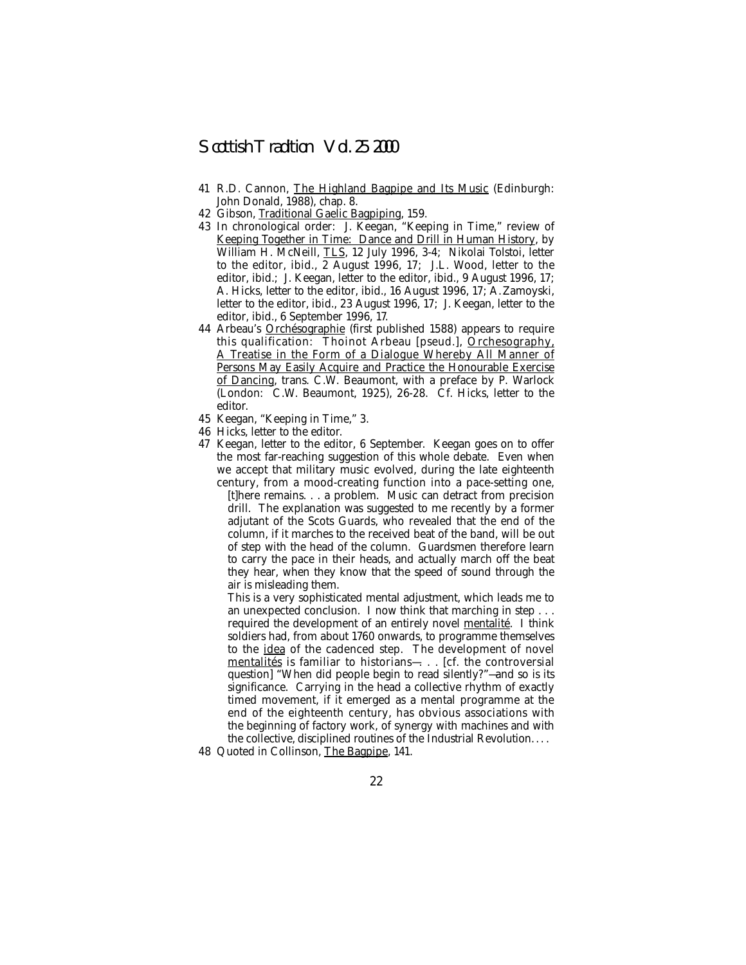- 41 R.D. Cannon, The Highland Bagpipe and Its Music (Edinburgh: John Donald, 1988), chap. 8.
- 42 Gibson, Traditional Gaelic Bagpiping, 159.
- 43 In chronological order: J. Keegan, "Keeping in Time," review of Keeping Together in Time: Dance and Drill in Human History, by William H. McNeill, TLS, 12 July 1996, 3-4; Nikolai Tolstoi, letter to the editor, ibid., 2 August 1996, 17; J.L. Wood, letter to the editor, ibid.; J. Keegan, letter to the editor, ibid., 9 August 1996, 17; A. Hicks, letter to the editor, ibid., 16 August 1996, 17; A. Zamoyski, letter to the editor, ibid., 23 August 1996, 17; J. Keegan, letter to the editor, ibid., 6 September 1996, 17.
- 44 Arbeau's Orchésographie (first published 1588) appears to require this qualification: Thoinot Arbeau [pseud.], Orchesography, A Treatise in the Form of a Dialogue Whereby All Manner of Persons May Easily Acquire and Practice the Honourable Exercise of Dancing, trans. C.W. Beaumont, with a preface by P. Warlock (London: C.W. Beaumont, 1925), 26-28. Cf. Hicks, letter to the editor.
- 45 Keegan, "Keeping in Time," 3.
- 46 Hicks, letter to the editor.
- 47 Keegan, letter to the editor, 6 September. Keegan goes on to offer the most far-reaching suggestion of this whole debate. Even when we accept that military music evolved, during the late eighteenth century, from a mood-creating function into a pace-setting one,

[t]here remains. . . a problem. Music can detract from precision drill. The explanation was suggested to me recently by a former adjutant of the Scots Guards, who revealed that the end of the column, if it marches to the received beat of the band, will be out of step with the head of the column. Guardsmen therefore learn to carry the pace in their heads, and actually march off the beat they hear, when they know that the speed of sound through the air is misleading them.

This is a very sophisticated mental adjustment, which leads me to an unexpected conclusion. I now think that marching in step... required the development of an entirely novel mentalité. I think soldiers had, from about 1760 onwards, to programme themselves to the idea of the cadenced step. The development of novel mentalités is familiar to historians—. . . [cf. the controversial question] "When did people begin to read silently?"—and so is its significance. Carrying in the head a collective rhythm of exactly timed movement, if it emerged as a mental programme at the end of the eighteenth century, has obvious associations with the beginning of factory work, of synergy with machines and with the collective, disciplined routines of the Industrial Revolution. . . .

48 Quoted in Collinson, The Bagpipe, 141.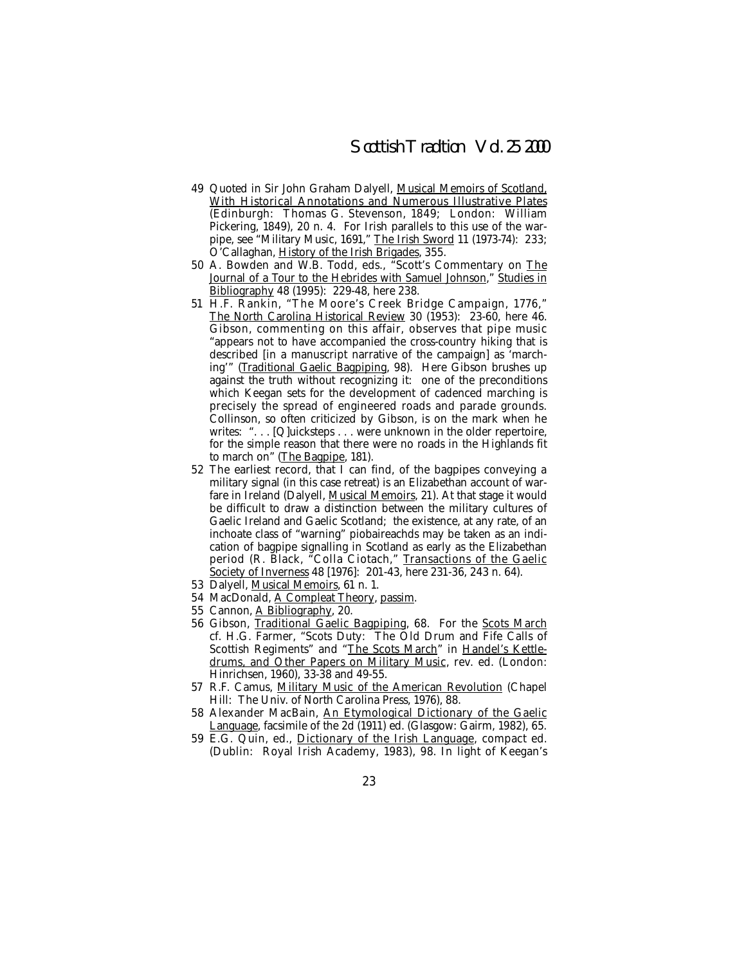- 49 Quoted in Sir John Graham Dalyell, Musical Memoirs of Scotland, With Historical Annotations and Numerous Illustrative Plates (Edinburgh: Thomas G. Stevenson, 1849; London: William Pickering, 1849), 20 n. 4. For Irish parallels to this use of the warpipe, see "Military Music, 1691," The Irish Sword 11 (1973-74): 233; O'Callaghan, History of the Irish Brigades, 355.
- 50 A. Bowden and W.B. Todd, eds., "Scott's Commentary on The Journal of a Tour to the Hebrides with Samuel Johnson," Studies in Bibliography 48 (1995): 229-48, here 238.
- 51 H.F. Rankin, "The Moore's Creek Bridge Campaign, 1776," The North Carolina Historical Review 30 (1953): 23-60, here 46. Gibson, commenting on this affair, observes that pipe music "appears not to have accompanied the cross-country hiking that is described [in a manuscript narrative of the campaign] as 'marching'" (Traditional Gaelic Bagpiping, 98). Here Gibson brushes up against the truth without recognizing it: one of the preconditions which Keegan sets for the development of cadenced marching is precisely the spread of engineered roads and parade grounds. Collinson, so often criticized by Gibson, is on the mark when he writes: "... [Q]uicksteps ... were unknown in the older repertoire, for the simple reason that there were no roads in the Highlands fit to march on" (The Bagpipe, 181).
- 52 The earliest record, that I can find, of the bagpipes conveying a military signal (in this case retreat) is an Elizabethan account of warfare in Ireland (Dalyell, Musical Memoirs, 21). At that stage it would be difficult to draw a distinction between the military cultures of Gaelic Ireland and Gaelic Scotland; the existence, at any rate, of an inchoate class of "warning" piobaireachds may be taken as an indication of bagpipe signalling in Scotland as early as the Elizabethan period (R. Black, "Colla Ciotach," Transactions of the Gaelic Society of Inverness 48 [1976]: 201-43, here 231-36, 243 n. 64).
- 53 Dalyell, Musical Memoirs, 61 n. 1.
- 54 MacDonald, A Compleat Theory, passim.
- 55 Cannon, A Bibliography, 20.
- 56 Gibson, Traditional Gaelic Bagpiping, 68. For the Scots March cf. H.G. Farmer, "Scots Duty: The Old Drum and Fife Calls of Scottish Regiments" and "The Scots March" in Handel's Kettledrums, and Other Papers on Military Music, rev. ed. (London: Hinrichsen, 1960), 33-38 and 49-55.
- 57 R.F. Camus, Military Music of the American Revolution (Chapel Hill: The Univ. of North Carolina Press, 1976), 88.
- 58 Alexander MacBain, An Etymological Dictionary of the Gaelic Language, facsimile of the 2d (1911) ed. (Glasgow: Gairm, 1982), 65.
- 59 E.G. Quin, ed., Dictionary of the Irish Language, compact ed. (Dublin: Royal Irish Academy, 1983), 98. In light of Keegan's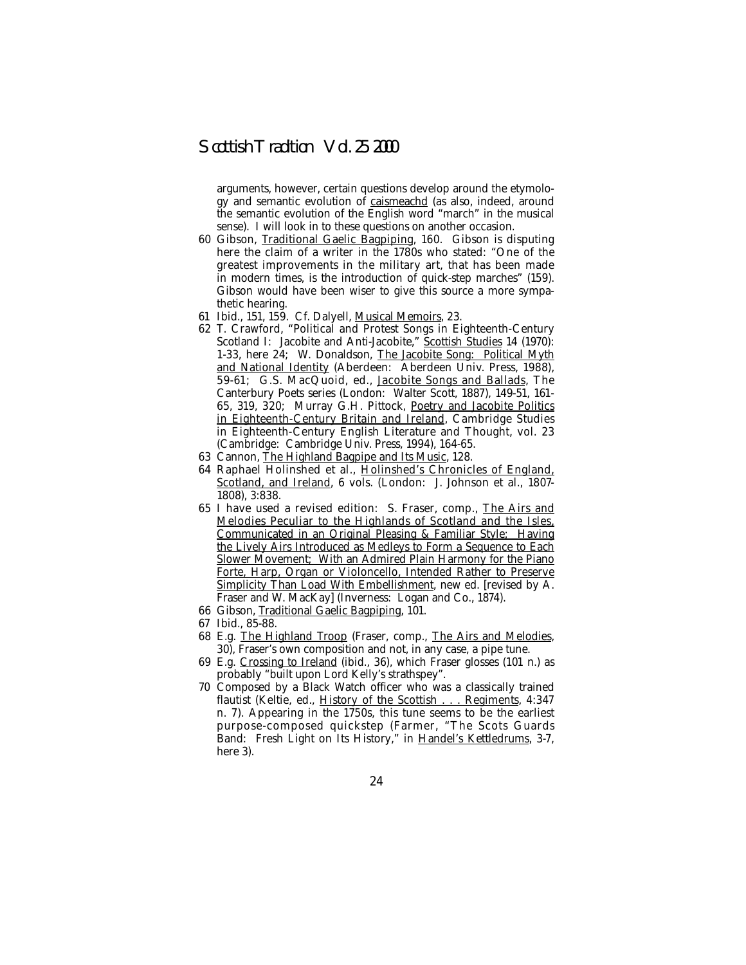arguments, however, certain questions develop around the etymology and semantic evolution of caismeachd (as also, indeed, around the semantic evolution of the English word "march" in the musical sense). I will look in to these questions on another occasion.

- 60 Gibson, Traditional Gaelic Bagpiping, 160. Gibson is disputing here the claim of a writer in the 1780s who stated: "One of the greatest improvements in the military art, that has been made in modern times, is the introduction of quick-step marches" (159). Gibson would have been wiser to give this source a more sympathetic hearing.
- 61 Ibid., 151, 159. Cf. Dalyell, Musical Memoirs, 23.
- 62 T. Crawford, "Political and Protest Songs in Eighteenth-Century Scotland I: Jacobite and Anti-Jacobite," Scottish Studies 14 (1970): 1-33, here 24; W. Donaldson, The Jacobite Song: Political Myth and National Identity (Aberdeen: Aberdeen Univ. Press, 1988), 59-61; G.S. MacQuoid, ed., Jacobite Songs and Ballads, The Canterbury Poets series (London: Walter Scott, 1887), 149-51, 161- 65, 319, 320; Murray G.H. Pittock, Poetry and Jacobite Politics in Eighteenth-Century Britain and Ireland, Cambridge Studies in Eighteenth-Century English Literature and Thought, vol. 23 (Cambridge: Cambridge Univ. Press, 1994), 164-65.
- 63 Cannon, The Highland Bagpipe and Its Music, 128.
- 64 Raphael Holinshed et al., Holinshed's Chronicles of England, Scotland, and Ireland, 6 vols. (London: J. Johnson et al., 1807- 1808), 3:838.
- 65 I have used a revised edition: S. Fraser, comp., The Airs and Melodies Peculiar to the Highlands of Scotland and the Isles, Communicated in an Original Pleasing & Familiar Style; Having the Lively Airs Introduced as Medleys to Form a Sequence to Each Slower Movement; With an Admired Plain Harmony for the Piano Forte, Harp, Organ or Violoncello, Intended Rather to Preserve Simplicity Than Load With Embellishment, new ed. [revised by A. Fraser and W. MacKay] (Inverness: Logan and Co., 1874).
- 66 Gibson, Traditional Gaelic Bagpiping, 101.
- 67 Ibid., 85-88.
- 68 E.g. The Highland Troop (Fraser, comp., The Airs and Melodies, 30), Fraser's own composition and not, in any case, a pipe tune.
- 69 E.g. Crossing to Ireland (ibid., 36), which Fraser glosses (101 n.) as probably "built upon Lord Kelly's strathspey".
- 70 Composed by a Black Watch officer who was a classically trained flautist (Keltie, ed., History of the Scottish . . . Regiments, 4:347 n. 7). Appearing in the 1750s, this tune seems to be the earliest purpose-composed quickstep (Farmer, "The Scots Guards Band: Fresh Light on Its History," in Handel's Kettledrums, 3-7, here 3).